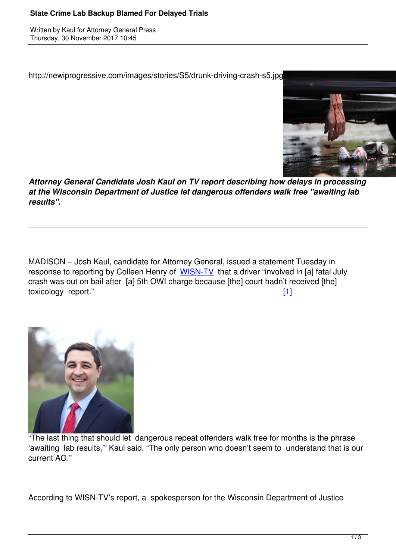http://newiprogressive.com/images/stories/S5/drunk-driving-crash-s5.jpg



*Attorney General Candidate Josh Kaul on TV report describing how delays in processing at the Wisconsin Department of Justice let dangerous offenders walk free "awaiting lab results".*

MADISON – Josh Kaul, candidate for Attorney General, issued a statement Tuesday in response to reporting by Colleen Henry of WISN-TV that a driver "involved in [a] fatal July crash was out on bail after [a] 5th OWI charge because [the] court hadn't received [the] toxicology report." [1]



"The last thing that should let dangerous repeat offenders walk free for months is the phrase 'awaiting lab results,'" Kaul said. "The only person who doesn't seem to understand that is our current AG."

According to WISN-TV's report, a spokesperson for the Wisconsin Department of Justice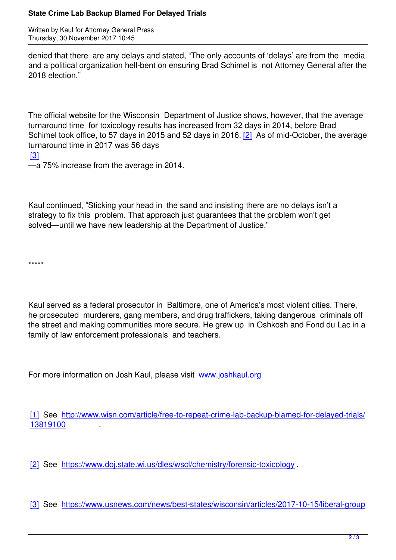denied that there are any delays and stated, "The only accounts of 'delays' are from the media and a political organization hell-bent on ensuring Brad Schimel is not Attorney General after the 2018 election."

The official website for the Wisconsin Department of Justice shows, however, that the average turnaround time for toxicology results has increased from 32 days in 2014, before Brad Schimel took office, to 57 days in 2015 and 52 days in 2016. [2] As of mid-October, the average turnaround time in 2017 was 56 days

[3]

—a 75% increase from the average in 2014.

Kaul continued, "Sticking your head in the sand and insisting there are no delays isn't a strategy to fix this problem. That approach just guarantees that the problem won't get solved—until we have new leadership at the Department of Justice."

\*\*\*\*\*

Kaul served as a federal prosecutor in Baltimore, one of America's most violent cities. There, he prosecuted murderers, gang members, and drug traffickers, taking dangerous criminals off the street and making communities more secure. He grew up in Oshkosh and Fond du Lac in a family of law enforcement professionals and teachers.

For more information on Josh Kaul, please visit www.joshkaul.org

[1] See http://www.wisn.com/article/free-to-rep[eat-crime-lab-back](http://www.joshkaul.org)up-blamed-for-delayed-trials/ 13819100 .

[\[2\] See h](https://act.myngp.com/el/YMqqeFM_Zur4ozHXBcT7BtnUzMUnOXaI8NZLGQOZIak=/P-GeAUN6N-UxU_Dzu0fHbTuFg6aqOYNbHKs42PUQ188=)ttps://www.doj.state.wi.us/dles/wscl/chemistry/forensic-toxicology.

[\[3\]](imap://editor%40newiprogressive%2Ecom@new.newiprogressive.com:993/fetch%3EUID%3E.INBOX%3E19871#_ftnref2) See [https://www.usnews.com/news/best-states/wisconsin/articles/2017](https://act.myngp.com/el/YMqqeFM_Zur4ozHXBcT7BtnUzMUnOXaI8NZLGQOZIak=/nL8FbnyXvfRgOtJUs9qhMUF9iCcFGads90z-OdXLvQo=)-10-15/liberal-group